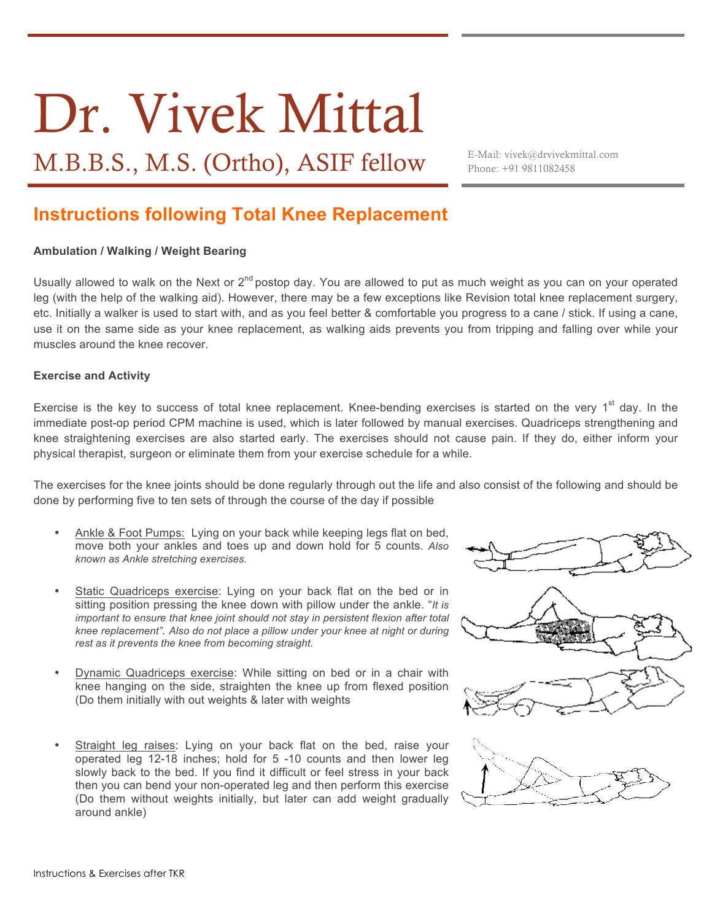# Dr. Vivek Mittal

M.B.B.S., M.S. (Ortho), ASIF fellow E-Mail: vivek@drvivekmittal.com

Phone: +91 9811082458

# **Instructions following Total Knee Replacement**

#### **Ambulation / Walking / Weight Bearing**

Usually allowed to walk on the Next or  $2^{nd}$  postop day. You are allowed to put as much weight as you can on your operated leg (with the help of the walking aid). However, there may be a few exceptions like Revision total knee replacement surgery, etc. Initially a walker is used to start with, and as you feel better & comfortable you progress to a cane / stick. If using a cane, use it on the same side as your knee replacement, as walking aids prevents you from tripping and falling over while your muscles around the knee recover.

#### **Exercise and Activity**

Exercise is the key to success of total knee replacement. Knee-bending exercises is started on the very 1<sup>st</sup> day. In the immediate post-op period CPM machine is used, which is later followed by manual exercises. Quadriceps strengthening and knee straightening exercises are also started early. The exercises should not cause pain. If they do, either inform your physical therapist, surgeon or eliminate them from your exercise schedule for a while.

The exercises for the knee joints should be done regularly through out the life and also consist of the following and should be done by performing five to ten sets of through the course of the day if possible

- Ankle & Foot Pumps: Lying on your back while keeping legs flat on bed, move both your ankles and toes up and down hold for 5 counts. *Also known as Ankle stretching exercises.*
- Static Quadriceps exercise: Lying on your back flat on the bed or in sitting position pressing the knee down with pillow under the ankle. "*It is important to ensure that knee joint should not stay in persistent flexion after total knee replacement"*. *Also do not place a pillow under your knee at night or during rest as it prevents the knee from becoming straight.*
- Dynamic Quadriceps exercise: While sitting on bed or in a chair with knee hanging on the side, straighten the knee up from flexed position (Do them initially with out weights & later with weights
- Straight leg raises: Lying on your back flat on the bed, raise your operated leg 12-18 inches; hold for 5 -10 counts and then lower leg slowly back to the bed. If you find it difficult or feel stress in your back then you can bend your non-operated leg and then perform this exercise (Do them without weights initially, but later can add weight gradually around ankle)





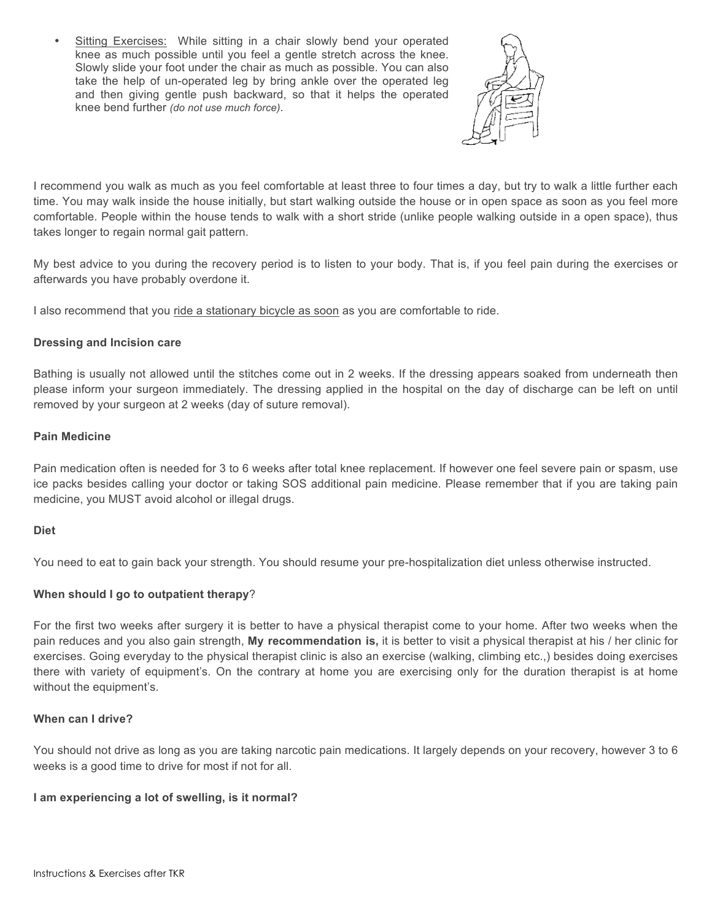• Sitting Exercises: While sitting in a chair slowly bend your operated knee as much possible until you feel a gentle stretch across the knee. Slowly slide your foot under the chair as much as possible. You can also take the help of un-operated leg by bring ankle over the operated leg and then giving gentle push backward, so that it helps the operated knee bend further *(do not use much force)*.



I recommend you walk as much as you feel comfortable at least three to four times a day, but try to walk a little further each time. You may walk inside the house initially, but start walking outside the house or in open space as soon as you feel more comfortable. People within the house tends to walk with a short stride (unlike people walking outside in a open space), thus takes longer to regain normal gait pattern.

My best advice to you during the recovery period is to listen to your body. That is, if you feel pain during the exercises or afterwards you have probably overdone it.

I also recommend that you ride a stationary bicycle as soon as you are comfortable to ride.

## **Dressing and Incision care**

Bathing is usually not allowed until the stitches come out in 2 weeks. If the dressing appears soaked from underneath then please inform your surgeon immediately. The dressing applied in the hospital on the day of discharge can be left on until removed by your surgeon at 2 weeks (day of suture removal).

## **Pain Medicine**

Pain medication often is needed for 3 to 6 weeks after total knee replacement. If however one feel severe pain or spasm, use ice packs besides calling your doctor or taking SOS additional pain medicine. Please remember that if you are taking pain medicine, you MUST avoid alcohol or illegal drugs.

## **Diet**

You need to eat to gain back your strength. You should resume your pre-hospitalization diet unless otherwise instructed.

## **When should I go to outpatient therapy**?

For the first two weeks after surgery it is better to have a physical therapist come to your home. After two weeks when the pain reduces and you also gain strength, **My recommendation is,** it is better to visit a physical therapist at his / her clinic for exercises. Going everyday to the physical therapist clinic is also an exercise (walking, climbing etc.,) besides doing exercises there with variety of equipment's. On the contrary at home you are exercising only for the duration therapist is at home without the equipment's.

## **When can I drive?**

You should not drive as long as you are taking narcotic pain medications. It largely depends on your recovery, however 3 to 6 weeks is a good time to drive for most if not for all.

## **I am experiencing a lot of swelling, is it normal?**